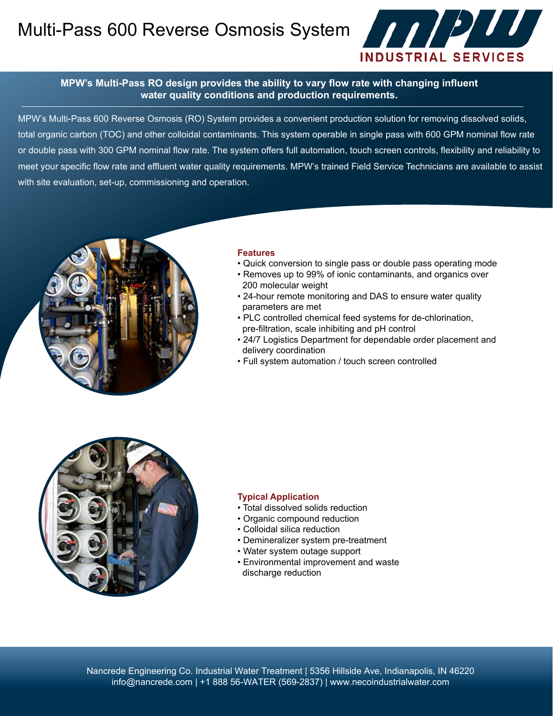Multi-Pass 600 Reverse Osmosis System **And Alternative System** 



### **MPW's Multi-Pass RO design provides the ability to vary flow rate with changing influent water quality conditions and production requirements.**

MPW's Multi-Pass 600 Reverse Osmosis (RO) System provides a convenient production solution for removing dissolved solids, total organic carbon (TOC) and other colloidal contaminants. This system operable in single pass with 600 GPM nominal flow rate or double pass with 300 GPM nominal flow rate. The system offers full automation, touch screen controls, flexibility and reliability to meet your specific flow rate and effluent water quality requirements. MPW's trained Field Service Technicians are available to assist with site evaluation, set-up, commissioning and operation.



#### **Features**

- Quick conversion to single pass or double pass operating mode
- Removes up to 99% of ionic contaminants, and organics over 200 molecular weight
- 24-hour remote monitoring and DAS to ensure water quality parameters are met
- PLC controlled chemical feed systems for de-chlorination, pre-filtration, scale inhibiting and pH control
- 24/7 Logistics Department for dependable order placement and delivery coordination
- Full system automation / touch screen controlled



### **Typical Application**

- Total dissolved solids reduction
- Organic compound reduction
- Colloidal silica reduction
- Demineralizer system pre-treatment
- Water system outage support
- Environmental improvement and waste discharge reduction